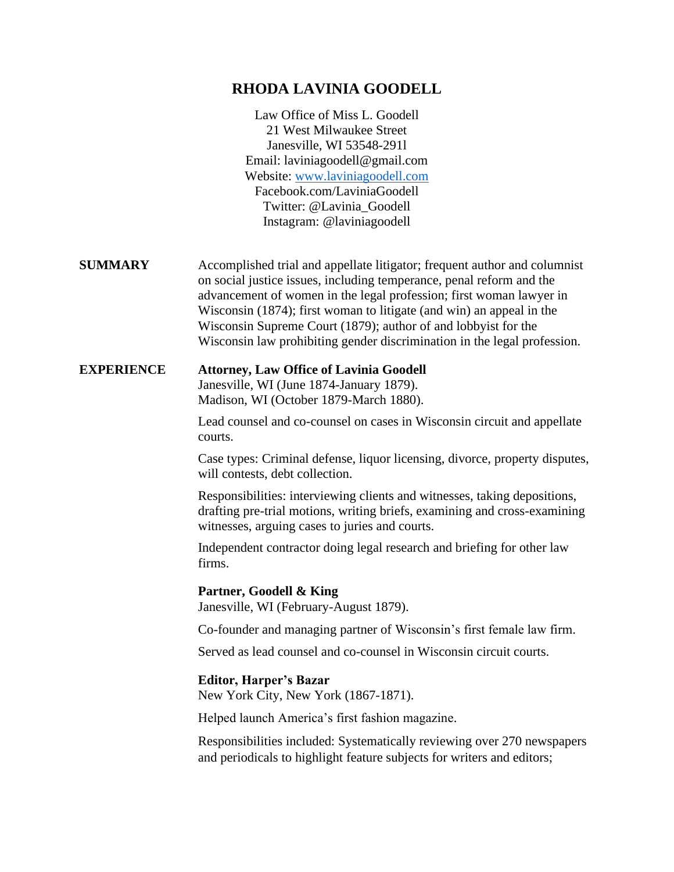## **RHODA LAVINIA GOODELL**

|                   | Law Office of Miss L. Goodell<br>21 West Milwaukee Street<br>Janesville, WI 53548-2911<br>Email: laviniagoodell@gmail.com<br>Website: www.laviniagoodell.com<br>Facebook.com/LaviniaGoodell<br>Twitter: @Lavinia_Goodell<br>Instagram: @laviniagoodell                                                                                                                                                                                         |
|-------------------|------------------------------------------------------------------------------------------------------------------------------------------------------------------------------------------------------------------------------------------------------------------------------------------------------------------------------------------------------------------------------------------------------------------------------------------------|
| <b>SUMMARY</b>    | Accomplished trial and appellate litigator; frequent author and columnist<br>on social justice issues, including temperance, penal reform and the<br>advancement of women in the legal profession; first woman lawyer in<br>Wisconsin (1874); first woman to litigate (and win) an appeal in the<br>Wisconsin Supreme Court (1879); author of and lobbyist for the<br>Wisconsin law prohibiting gender discrimination in the legal profession. |
| <b>EXPERIENCE</b> | <b>Attorney, Law Office of Lavinia Goodell</b><br>Janesville, WI (June 1874-January 1879).<br>Madison, WI (October 1879-March 1880).                                                                                                                                                                                                                                                                                                           |
|                   | Lead counsel and co-counsel on cases in Wisconsin circuit and appellate<br>courts.                                                                                                                                                                                                                                                                                                                                                             |
|                   | Case types: Criminal defense, liquor licensing, divorce, property disputes,<br>will contests, debt collection.                                                                                                                                                                                                                                                                                                                                 |
|                   | Responsibilities: interviewing clients and witnesses, taking depositions,<br>drafting pre-trial motions, writing briefs, examining and cross-examining<br>witnesses, arguing cases to juries and courts.                                                                                                                                                                                                                                       |
|                   | Independent contractor doing legal research and briefing for other law<br>firms.                                                                                                                                                                                                                                                                                                                                                               |
|                   | Partner, Goodell & King<br>Janesville, WI (February-August 1879).                                                                                                                                                                                                                                                                                                                                                                              |
|                   | Co-founder and managing partner of Wisconsin's first female law firm.                                                                                                                                                                                                                                                                                                                                                                          |
|                   | Served as lead counsel and co-counsel in Wisconsin circuit courts.                                                                                                                                                                                                                                                                                                                                                                             |
|                   | <b>Editor, Harper's Bazar</b><br>New York City, New York (1867-1871).                                                                                                                                                                                                                                                                                                                                                                          |
|                   | Helped launch America's first fashion magazine.                                                                                                                                                                                                                                                                                                                                                                                                |
|                   | Responsibilities included: Systematically reviewing over 270 newspapers<br>and periodicals to highlight feature subjects for writers and editors;                                                                                                                                                                                                                                                                                              |
|                   |                                                                                                                                                                                                                                                                                                                                                                                                                                                |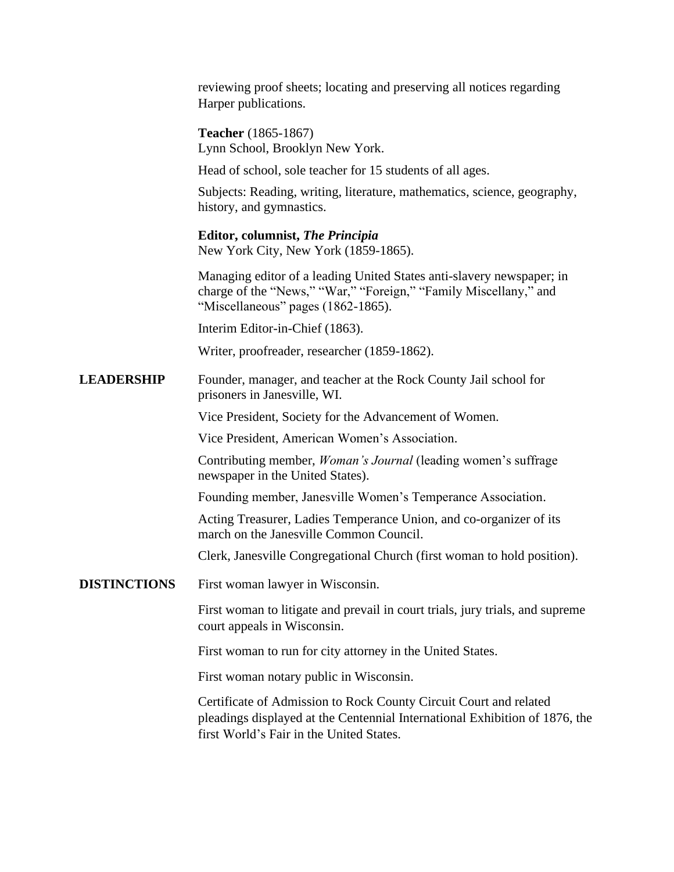reviewing proof sheets; locating and preserving all notices regarding Harper publications.

**Teacher** (1865-1867) Lynn School, Brooklyn New York.

Head of school, sole teacher for 15 students of all ages.

Subjects: Reading, writing, literature, mathematics, science, geography, history, and gymnastics.

**Editor, columnist,** *The Principia* New York City, New York (1859-1865).

Managing editor of a leading United States anti-slavery newspaper; in charge of the "News," "War," "Foreign," "Family Miscellany," and "Miscellaneous" pages (1862-1865).

Interim Editor-in-Chief (1863).

Writer, proofreader, researcher (1859-1862).

**LEADERSHIP** Founder, manager, and teacher at the Rock County Jail school for prisoners in Janesville, WI.

Vice President, Society for the Advancement of Women.

Vice President, American Women's Association.

Contributing member, *Woman's Journal* (leading women's suffrage newspaper in the United States).

Founding member, Janesville Women's Temperance Association.

Acting Treasurer, Ladies Temperance Union, and co-organizer of its march on the Janesville Common Council.

Clerk, Janesville Congregational Church (first woman to hold position).

**DISTINCTIONS** First woman lawyer in Wisconsin.

First woman to litigate and prevail in court trials, jury trials, and supreme court appeals in Wisconsin.

First woman to run for city attorney in the United States.

First woman notary public in Wisconsin.

Certificate of Admission to Rock County Circuit Court and related pleadings displayed at the Centennial International Exhibition of 1876, the first World's Fair in the United States.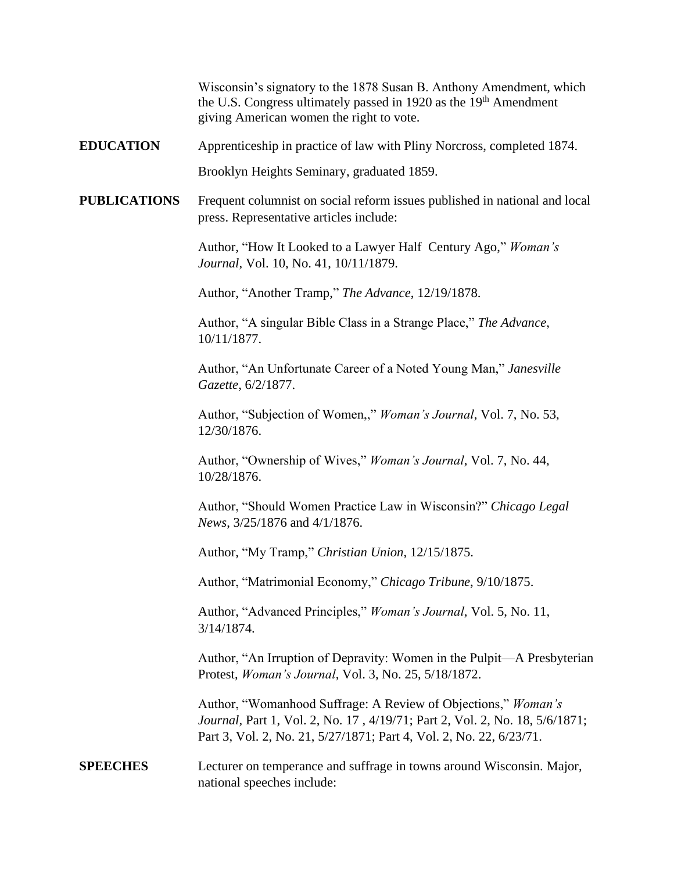Wisconsin's signatory to the 1878 Susan B. Anthony Amendment, which the U.S. Congress ultimately passed in 1920 as the 19<sup>th</sup> Amendment giving American women the right to vote.

**EDUCATION** Apprenticeship in practice of law with Pliny Norcross, completed 1874.

Brooklyn Heights Seminary, graduated 1859.

**PUBLICATIONS** Frequent columnist on social reform issues published in national and local press. Representative articles include:

> Author, "How It Looked to a Lawyer Half Century Ago," *Woman's Journal*, Vol. 10, No. 41, 10/11/1879.

Author, "Another Tramp," *The Advance*, 12/19/1878.

Author, "A singular Bible Class in a Strange Place," *The Advance*, 10/11/1877.

Author, "An Unfortunate Career of a Noted Young Man," *Janesville Gazette*, 6/2/1877.

Author, "Subjection of Women,," *Woman's Journal*, Vol. 7, No. 53, 12/30/1876.

Author, "Ownership of Wives," *Woman's Journal*, Vol. 7, No. 44, 10/28/1876.

Author, "Should Women Practice Law in Wisconsin?" *Chicago Legal News*, 3/25/1876 and 4/1/1876.

Author, "My Tramp," *Christian Union*, 12/15/1875.

Author, "Matrimonial Economy," *Chicago Tribune*, 9/10/1875.

Author, "Advanced Principles," *Woman's Journal*, Vol. 5, No. 11, 3/14/1874.

Author, "An Irruption of Depravity: Women in the Pulpit—A Presbyterian Protest, *Woman's Journal*, Vol. 3, No. 25, 5/18/1872.

Author, "Womanhood Suffrage: A Review of Objections," *Woman's Journal*, Part 1, Vol. 2, No. 17 , 4/19/71; Part 2, Vol. 2, No. 18, 5/6/1871; Part 3, Vol. 2, No. 21, 5/27/1871; Part 4, Vol. 2, No. 22, 6/23/71.

## **SPEECHES** Lecturer on temperance and suffrage in towns around Wisconsin. Major, national speeches include: